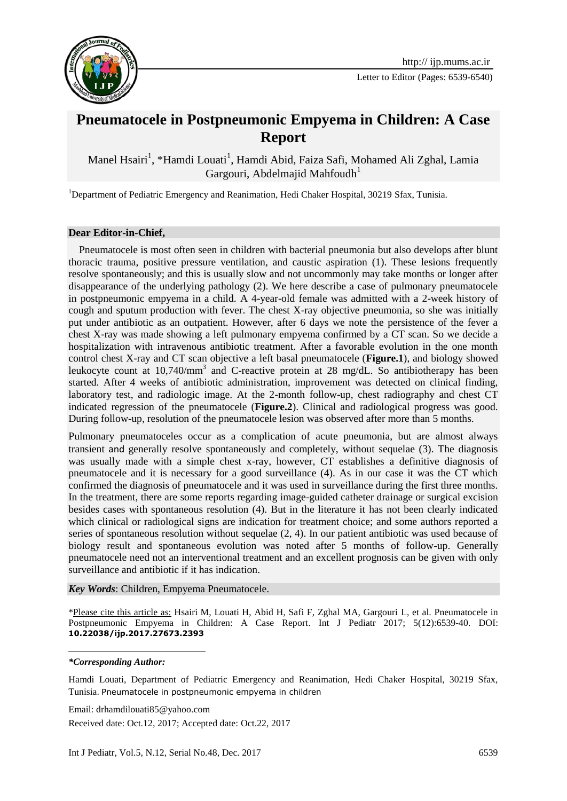

Letter to Editor (Pages: 6539-6540)

## **Pneumatocele in Postpneumonic Empyema in Children: A Case Report**

Manel Hsairi<sup>1</sup>, \*Hamdi Louati<sup>1</sup>, Hamdi Abid, Faiza Safi, Mohamed Ali Zghal, Lamia Gargouri, Abdelmajid Mahfoudh<sup>1</sup>

<sup>1</sup>Department of Pediatric Emergency and Reanimation, Hedi Chaker Hospital, 30219 Sfax, Tunisia.

## **Dear Editor-in-Chief,**

 Pneumatocele is most often seen in children with bacterial pneumonia but also develops after blunt thoracic trauma, positive pressure ventilation, and caustic aspiration (1). These lesions frequently resolve spontaneously; and this is usually slow and not uncommonly may take months or longer after disappearance of the underlying pathology (2). We here describe a case of pulmonary pneumatocele in postpneumonic empyema in a child. A 4-year-old female was admitted with a 2-week history of cough and sputum production with fever. The chest X-ray objective pneumonia, so she was initially put under antibiotic as an outpatient. However, after 6 days we note the persistence of the fever a chest X-ray was made showing a left pulmonary empyema confirmed by a CT scan. So we decide a hospitalization with intravenous antibiotic treatment. After a favorable evolution in the one month control chest X-ray and CT scan objective a left basal pneumatocele (**Figure.1**), and biology showed leukocyte count at 10,740/mm<sup>3</sup> and C-reactive protein at 28 mg/dL. So antibiotherapy has been started. After 4 weeks of antibiotic administration, improvement was detected on clinical finding, laboratory test, and radiologic image. At the 2-month follow-up, chest radiography and chest CT indicated regression of the pneumatocele (**Figure.2**). Clinical and radiological progress was good. During follow-up, resolution of the pneumatocele lesion was observed after more than 5 months.

Pulmonary pneumatoceles occur as a complication of acute pneumonia, but are almost always transient and generally resolve spontaneously and completely, without sequelae (3). The diagnosis was usually made with a simple chest x-ray, however, CT establishes a definitive diagnosis of pneumatocele and it is necessary for a good surveillance (4). As in our case it was the CT which confirmed the diagnosis of pneumatocele and it was used in surveillance during the first three months. In the treatment, there are some reports regarding image-guided catheter drainage or surgical excision besides cases with spontaneous resolution (4). But in the literature it has not been clearly indicated which clinical or radiological signs are indication for treatment choice; and some authors reported a series of spontaneous resolution without sequelae (2, 4). In our patient antibiotic was used because of biology result and spontaneous evolution was noted after 5 months of follow-up. Generally pneumatocele need not an interventional treatment and an excellent prognosis can be given with only surveillance and antibiotic if it has indication.

*Key Words*: Children, Empyema Pneumatocele.

\*Please cite this article as: Hsairi M, Louati H, Abid H, Safi F, Zghal MA, Gargouri L, et al. Pneumatocele in Postpneumonic Empyema in Children: A Case Report. Int J Pediatr 2017; 5(12):6539-40. DOI: **10.22038/ijp.2017.27673.2393**

## *\*Corresponding Author:*

1

Hamdi Louati, Department of Pediatric Emergency and Reanimation, Hedi Chaker Hospital, 30219 Sfax, Tunisia. Pneumatocele in postpneumonic empyema in children

Email: drhamdilouati85@yahoo.com

Received date: Oct.12, 2017; Accepted date: Oct.22, 2017